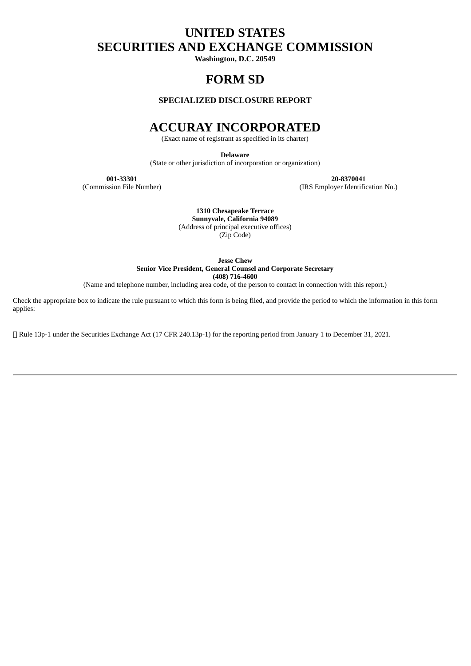# **UNITED STATES SECURITIES AND EXCHANGE COMMISSION**

**Washington, D.C. 20549**

# **FORM SD**

# **SPECIALIZED DISCLOSURE REPORT**

# **ACCURAY INCORPORATED**

(Exact name of registrant as specified in its charter)

**Delaware**

(State or other jurisdiction of incorporation or organization)

**001-33301 20-8370041**

(IRS Employer Identification No.)

**1310 Chesapeake Terrace Sunnyvale, California 94089** (Address of principal executive offices) (Zip Code)

**Jesse Chew**

**Senior Vice President, General Counsel and Corporate Secretary**

**(408) 716-4600**

(Name and telephone number, including area code, of the person to contact in connection with this report.)

Check the appropriate box to indicate the rule pursuant to which this form is being filed, and provide the period to which the information in this form applies:

Rule 13p-1 under the Securities Exchange Act (17 CFR 240.13p-1) for the reporting period from January 1 to December 31, 2021.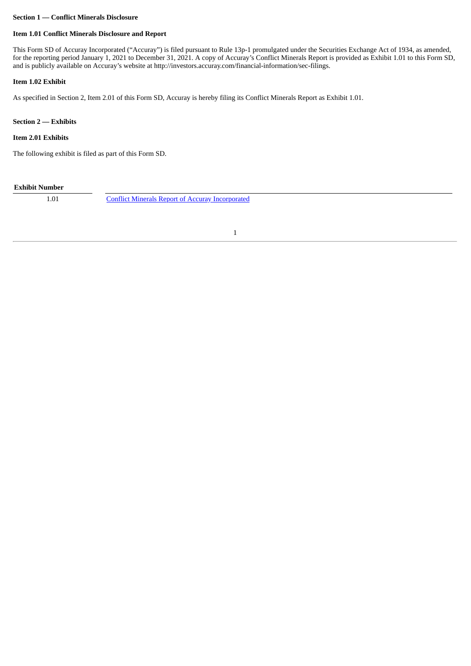#### **Section 1 — Conflict Minerals Disclosure**

# **Item 1.01 Conflict Minerals Disclosure and Report**

This Form SD of Accuray Incorporated ("Accuray") is filed pursuant to Rule 13p-1 promulgated under the Securities Exchange Act of 1934, as amended, for the reporting period January 1, 2021 to December 31, 2021. A copy of Accuray's Conflict Minerals Report is provided as Exhibit 1.01 to this Form SD, and is publicly available on Accuray's website at http://investors.accuray.com/financial-information/sec-filings.

### **Item 1.02 Exhibit**

As specified in Section 2, Item 2.01 of this Form SD, Accuray is hereby filing its Conflict Minerals Report as Exhibit 1.01.

#### **Section 2 — Exhibits**

### **Item 2.01 Exhibits**

The following exhibit is filed as part of this Form SD.

# **Exhibit Number**

1.01 Conflict Minerals Report of Accuray [Incorporated](#page-3-0)

1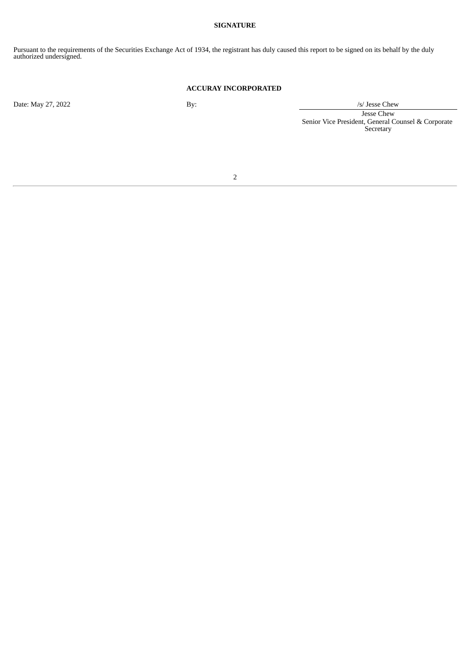# **SIGNATURE**

Pursuant to the requirements of the Securities Exchange Act of 1934, the registrant has duly caused this report to be signed on its behalf by the duly authorized undersigned.

### **ACCURAY INCORPORATED**

Date: May 27, 2022 By: by: /s/ Jesse Chew Jesse Chew Senior Vice President, General Counsel & Corporate **Secretary** 

2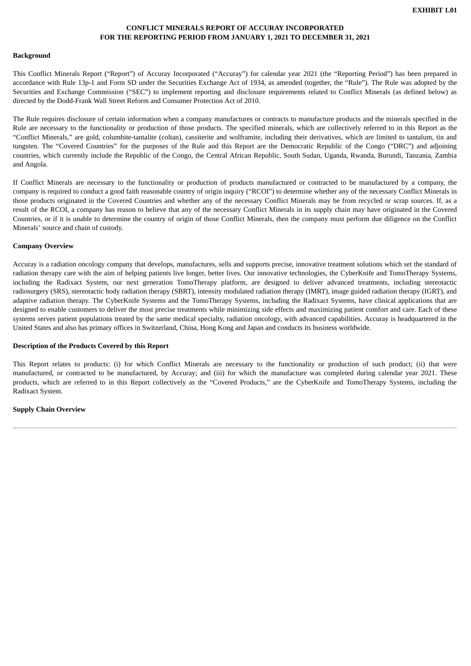# **CONFLICT MINERALS REPORT OF ACCURAY INCORPORATED FOR THE REPORTING PERIOD FROM JANUARY 1, 2021 TO DECEMBER 31, 2021**

#### <span id="page-3-0"></span>**Background**

This Conflict Minerals Report ("Report") of Accuray Incorporated ("Accuray") for calendar year 2021 (the "Reporting Period") has been prepared in accordance with Rule 13p-1 and Form SD under the Securities Exchange Act of 1934, as amended (together, the "Rule"). The Rule was adopted by the Securities and Exchange Commission ("SEC") to implement reporting and disclosure requirements related to Conflict Minerals (as defined below) as directed by the Dodd-Frank Wall Street Reform and Consumer Protection Act of 2010.

The Rule requires disclosure of certain information when a company manufactures or contracts to manufacture products and the minerals specified in the Rule are necessary to the functionality or production of those products. The specified minerals, which are collectively referred to in this Report as the "Conflict Minerals," are gold, columbite-tantalite (coltan), cassiterite and wolframite, including their derivatives, which are limited to tantalum, tin and tungsten. The "Covered Countries" for the purposes of the Rule and this Report are the Democratic Republic of the Congo ("DRC") and adjoining countries, which currently include the Republic of the Congo, the Central African Republic, South Sudan, Uganda, Rwanda, Burundi, Tanzania, Zambia and Angola.

If Conflict Minerals are necessary to the functionality or production of products manufactured or contracted to be manufactured by a company, the company is required to conduct a good faith reasonable country of origin inquiry ("RCOI") to determine whether any of the necessary Conflict Minerals in those products originated in the Covered Countries and whether any of the necessary Conflict Minerals may be from recycled or scrap sources. If, as a result of the RCOI, a company has reason to believe that any of the necessary Conflict Minerals in its supply chain may have originated in the Covered Countries, or if it is unable to determine the country of origin of those Conflict Minerals, then the company must perform due diligence on the Conflict Minerals' source and chain of custody.

#### **Company Overview**

Accuray is a radiation oncology company that develops, manufactures, sells and supports precise, innovative treatment solutions which set the standard of radiation therapy care with the aim of helping patients live longer, better lives. Our innovative technologies, the CyberKnife and TomoTherapy Systems, including the Radixact System, our next generation TomoTherapy platform, are designed to deliver advanced treatments, including stereotactic radiosurgery (SRS), stereotactic body radiation therapy (SBRT), intensity modulated radiation therapy (IMRT), image guided radiation therapy (IGRT), and adaptive radiation therapy. The CyberKnife Systems and the TomoTherapy Systems, including the Radixact Systems, have clinical applications that are designed to enable customers to deliver the most precise treatments while minimizing side effects and maximizing patient comfort and care. Each of these systems serves patient populations treated by the same medical specialty, radiation oncology, with advanced capabilities. Accuray is headquartered in the United States and also has primary offices in Switzerland, China, Hong Kong and Japan and conducts its business worldwide.

#### **Description of the Products Covered by this Report**

This Report relates to products: (i) for which Conflict Minerals are necessary to the functionality or production of such product; (ii) that were manufactured, or contracted to be manufactured, by Accuray; and (iii) for which the manufacture was completed during calendar year 2021. These products, which are referred to in this Report collectively as the "Covered Products," are the CyberKnife and TomoTherapy Systems, including the Radixact System.

#### **Supply Chain Overview**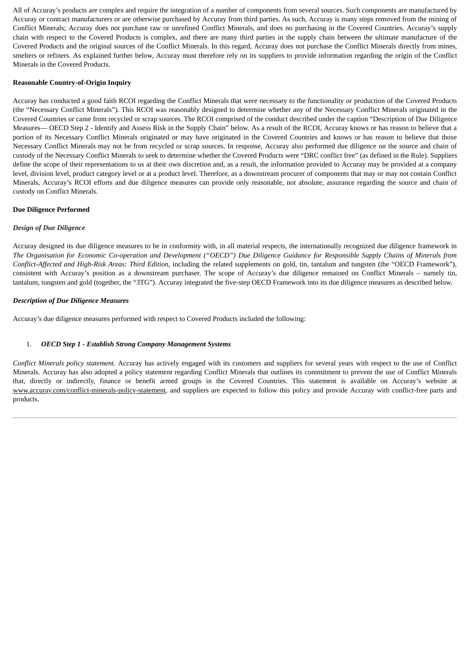All of Accuray's products are complex and require the integration of a number of components from several sources. Such components are manufactured by Accuray or contract manufacturers or are otherwise purchased by Accuray from third parties. As such, Accuray is many steps removed from the mining of Conflict Minerals; Accuray does not purchase raw or unrefined Conflict Minerals, and does no purchasing in the Covered Countries. Accuray's supply chain with respect to the Covered Products is complex, and there are many third parties in the supply chain between the ultimate manufacture of the Covered Products and the original sources of the Conflict Minerals. In this regard, Accuray does not purchase the Conflict Minerals directly from mines, smelters or refiners. As explained further below, Accuray must therefore rely on its suppliers to provide information regarding the origin of the Conflict Minerals in the Covered Products.

# **Reasonable Country-of-Origin Inquiry**

Accuray has conducted a good faith RCOI regarding the Conflict Minerals that were necessary to the functionality or production of the Covered Products (the "Necessary Conflict Minerals"). This RCOI was reasonably designed to determine whether any of the Necessary Conflict Minerals originated in the Covered Countries or came from recycled or scrap sources. The RCOI comprised of the conduct described under the caption "Description of Due Diligence Measures— OECD Step 2 - Identify and Assess Risk in the Supply Chain" below. As a result of the RCOI, Accuray knows or has reason to believe that a portion of its Necessary Conflict Minerals originated or may have originated in the Covered Countries and knows or has reason to believe that those Necessary Conflict Minerals may not be from recycled or scrap sources. In response, Accuray also performed due diligence on the source and chain of custody of the Necessary Conflict Minerals to seek to determine whether the Covered Products were "DRC conflict free" (as defined in the Rule). Suppliers define the scope of their representations to us at their own discretion and, as a result, the information provided to Accuray may be provided at a company level, division level, product category level or at a product level. Therefore, as a downstream procurer of components that may or may not contain Conflict Minerals, Accuray's RCOI efforts and due diligence measures can provide only reasonable, not absolute, assurance regarding the source and chain of custody on Conflict Minerals.

#### **Due Diligence Performed**

#### *Design of Due Diligence*

Accuray designed its due diligence measures to be in conformity with, in all material respects, the internationally recognized due diligence framework in The Organisation for Economic Co-operation and Development ("OECD") Due Diligence Guidance for Responsible Supply Chains of Minerals from *Conflict-Affected and High-Risk Areas: Third Edition*, including the related supplements on gold, tin, tantalum and tungsten (the "OECD Framework"), consistent with Accuray's position as a downstream purchaser. The scope of Accuray's due diligence remained on Conflict Minerals – namely tin, tantalum, tungsten and gold (together, the "3TG"). Accuray integrated the five-step OECD Framework into its due diligence measures as described below.

#### *Description of Due Diligence Measures*

Accuray's due diligence measures performed with respect to Covered Products included the following:

# 1. *OECD Step 1 - Establish Strong Company Management Systems*

*Conflict Minerals policy statement.* Accuray has actively engaged with its customers and suppliers for several years with respect to the use of Conflict Minerals. Accuray has also adopted a policy statement regarding Conflict Minerals that outlines its commitment to prevent the use of Conflict Minerals that, directly or indirectly, finance or benefit armed groups in the Covered Countries. This statement is available on Accuray's website at www.accuray.com/conflict-minerals-policy-statement, and suppliers are expected to follow this policy and provide Accuray with conflict-free parts and products.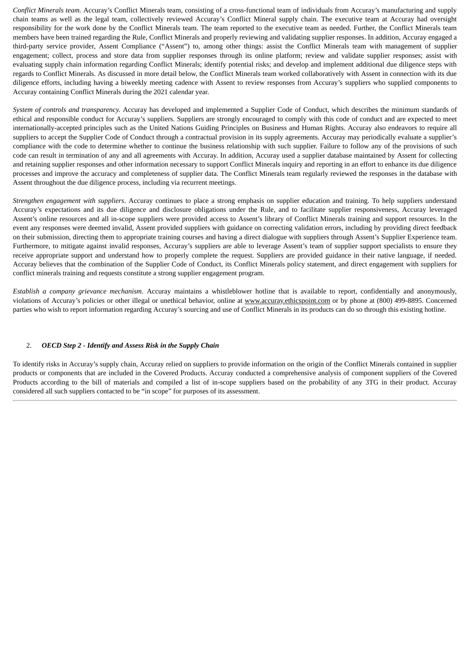*Conflict Minerals team.* Accuray's Conflict Minerals team, consisting of a cross-functional team of individuals from Accuray's manufacturing and supply chain teams as well as the legal team, collectively reviewed Accuray's Conflict Mineral supply chain. The executive team at Accuray had oversight responsibility for the work done by the Conflict Minerals team. The team reported to the executive team as needed. Further, the Conflict Minerals team members have been trained regarding the Rule, Conflict Minerals and properly reviewing and validating supplier responses. In addition, Accuray engaged a third-party service provider, Assent Compliance ("Assent") to, among other things: assist the Conflict Minerals team with management of supplier engagement; collect, process and store data from supplier responses through its online platform; review and validate supplier responses; assist with evaluating supply chain information regarding Conflict Minerals; identify potential risks; and develop and implement additional due diligence steps with regards to Conflict Minerals. As discussed in more detail below, the Conflict Minerals team worked collaboratively with Assent in connection with its due diligence efforts, including having a biweekly meeting cadence with Assent to review responses from Accuray's suppliers who supplied components to Accuray containing Conflict Minerals during the 2021 calendar year.

*System of controls and transparency.* Accuray has developed and implemented a Supplier Code of Conduct, which describes the minimum standards of ethical and responsible conduct for Accuray's suppliers. Suppliers are strongly encouraged to comply with this code of conduct and are expected to meet internationally-accepted principles such as the United Nations Guiding Principles on Business and Human Rights. Accuray also endeavors to require all suppliers to accept the Supplier Code of Conduct through a contractual provision in its supply agreements. Accuray may periodically evaluate a supplier's compliance with the code to determine whether to continue the business relationship with such supplier. Failure to follow any of the provisions of such code can result in termination of any and all agreements with Accuray. In addition, Accuray used a supplier database maintained by Assent for collecting and retaining supplier responses and other information necessary to support Conflict Minerals inquiry and reporting in an effort to enhance its due diligence processes and improve the accuracy and completeness of supplier data. The Conflict Minerals team regularly reviewed the responses in the database with Assent throughout the due diligence process, including via recurrent meetings.

*Strengthen engagement with suppliers*. Accuray continues to place a strong emphasis on supplier education and training. To help suppliers understand Accuray's expectations and its due diligence and disclosure obligations under the Rule, and to facilitate supplier responsiveness, Accuray leveraged Assent's online resources and all in-scope suppliers were provided access to Assent's library of Conflict Minerals training and support resources. In the event any responses were deemed invalid, Assent provided suppliers with guidance on correcting validation errors, including by providing direct feedback on their submission, directing them to appropriate training courses and having a direct dialogue with suppliers through Assent's Supplier Experience team. Furthermore, to mitigate against invalid responses, Accuray's suppliers are able to leverage Assent's team of supplier support specialists to ensure they receive appropriate support and understand how to properly complete the request. Suppliers are provided guidance in their native language, if needed. Accuray believes that the combination of the Supplier Code of Conduct, its Conflict Minerals policy statement, and direct engagement with suppliers for conflict minerals training and requests constitute a strong supplier engagement program.

*Establish a company grievance mechanism*. Accuray maintains a whistleblower hotline that is available to report, confidentially and anonymously, violations of Accuray's policies or other illegal or unethical behavior, online at www.accuray.ethicspoint.com or by phone at (800) 499-8895. Concerned parties who wish to report information regarding Accuray's sourcing and use of Conflict Minerals in its products can do so through this existing hotline.

# 2. *OECD Step 2 - Identify and Assess Risk in the Supply Chain*

To identify risks in Accuray's supply chain, Accuray relied on suppliers to provide information on the origin of the Conflict Minerals contained in supplier products or components that are included in the Covered Products. Accuray conducted a comprehensive analysis of component suppliers of the Covered Products according to the bill of materials and compiled a list of in-scope suppliers based on the probability of any 3TG in their product. Accuray considered all such suppliers contacted to be "in scope" for purposes of its assessment.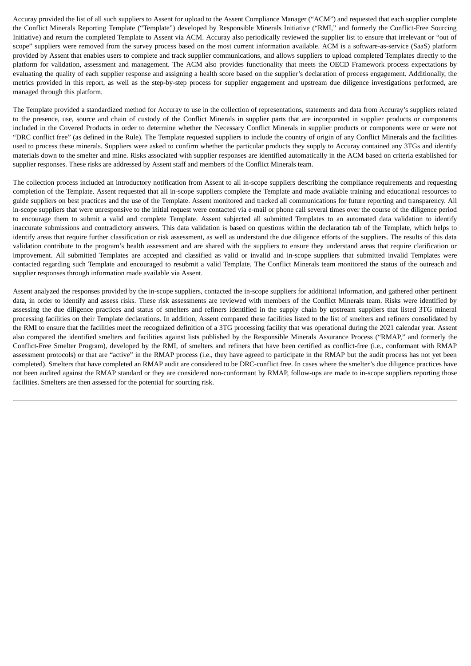Accuray provided the list of all such suppliers to Assent for upload to the Assent Compliance Manager ("ACM") and requested that each supplier complete the Conflict Minerals Reporting Template ("Template") developed by Responsible Minerals Initiative ("RMI," and formerly the Conflict-Free Sourcing Initiative) and return the completed Template to Assent via ACM. Accuray also periodically reviewed the supplier list to ensure that irrelevant or "out of scope" suppliers were removed from the survey process based on the most current information available. ACM is a software-as-service (SaaS) platform provided by Assent that enables users to complete and track supplier communications, and allows suppliers to upload completed Templates directly to the platform for validation, assessment and management. The ACM also provides functionality that meets the OECD Framework process expectations by evaluating the quality of each supplier response and assigning a health score based on the supplier's declaration of process engagement. Additionally, the metrics provided in this report, as well as the step-by-step process for supplier engagement and upstream due diligence investigations performed, are managed through this platform.

The Template provided a standardized method for Accuray to use in the collection of representations, statements and data from Accuray's suppliers related to the presence, use, source and chain of custody of the Conflict Minerals in supplier parts that are incorporated in supplier products or components included in the Covered Products in order to determine whether the Necessary Conflict Minerals in supplier products or components were or were not "DRC conflict free" (as defined in the Rule). The Template requested suppliers to include the country of origin of any Conflict Minerals and the facilities used to process these minerals. Suppliers were asked to confirm whether the particular products they supply to Accuray contained any 3TGs and identify materials down to the smelter and mine. Risks associated with supplier responses are identified automatically in the ACM based on criteria established for supplier responses. These risks are addressed by Assent staff and members of the Conflict Minerals team.

The collection process included an introductory notification from Assent to all in-scope suppliers describing the compliance requirements and requesting completion of the Template. Assent requested that all in-scope suppliers complete the Template and made available training and educational resources to guide suppliers on best practices and the use of the Template. Assent monitored and tracked all communications for future reporting and transparency. All in-scope suppliers that were unresponsive to the initial request were contacted via e-mail or phone call several times over the course of the diligence period to encourage them to submit a valid and complete Template. Assent subjected all submitted Templates to an automated data validation to identify inaccurate submissions and contradictory answers. This data validation is based on questions within the declaration tab of the Template, which helps to identify areas that require further classification or risk assessment, as well as understand the due diligence efforts of the suppliers. The results of this data validation contribute to the program's health assessment and are shared with the suppliers to ensure they understand areas that require clarification or improvement. All submitted Templates are accepted and classified as valid or invalid and in-scope suppliers that submitted invalid Templates were contacted regarding such Template and encouraged to resubmit a valid Template. The Conflict Minerals team monitored the status of the outreach and supplier responses through information made available via Assent.

Assent analyzed the responses provided by the in-scope suppliers, contacted the in-scope suppliers for additional information, and gathered other pertinent data, in order to identify and assess risks. These risk assessments are reviewed with members of the Conflict Minerals team. Risks were identified by assessing the due diligence practices and status of smelters and refiners identified in the supply chain by upstream suppliers that listed 3TG mineral processing facilities on their Template declarations. In addition, Assent compared these facilities listed to the list of smelters and refiners consolidated by the RMI to ensure that the facilities meet the recognized definition of a 3TG processing facility that was operational during the 2021 calendar year. Assent also compared the identified smelters and facilities against lists published by the Responsible Minerals Assurance Process ("RMAP," and formerly the Conflict-Free Smelter Program), developed by the RMI, of smelters and refiners that have been certified as conflict-free (i.e., conformant with RMAP assessment protocols) or that are "active" in the RMAP process (i.e., they have agreed to participate in the RMAP but the audit process has not yet been completed). Smelters that have completed an RMAP audit are considered to be DRC-conflict free. In cases where the smelter's due diligence practices have not been audited against the RMAP standard or they are considered non-conformant by RMAP, follow-ups are made to in-scope suppliers reporting those facilities. Smelters are then assessed for the potential for sourcing risk.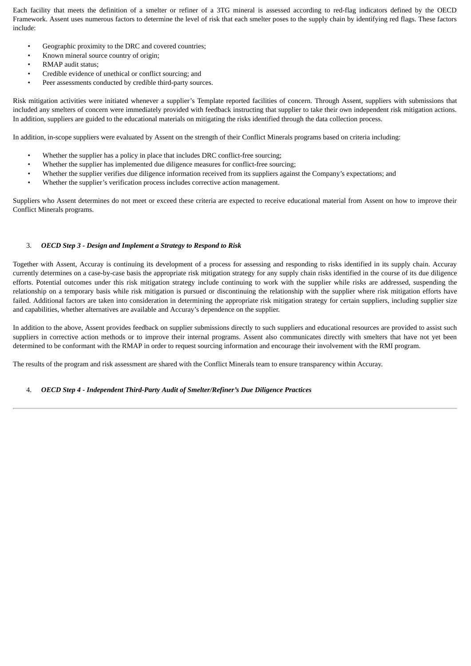Each facility that meets the definition of a smelter or refiner of a 3TG mineral is assessed according to red-flag indicators defined by the OECD Framework. Assent uses numerous factors to determine the level of risk that each smelter poses to the supply chain by identifying red flags. These factors include:

- Geographic proximity to the DRC and covered countries;
- Known mineral source country of origin;
- RMAP audit status;
- Credible evidence of unethical or conflict sourcing; and
- Peer assessments conducted by credible third-party sources.

Risk mitigation activities were initiated whenever a supplier's Template reported facilities of concern. Through Assent, suppliers with submissions that included any smelters of concern were immediately provided with feedback instructing that supplier to take their own independent risk mitigation actions. In addition, suppliers are guided to the educational materials on mitigating the risks identified through the data collection process.

In addition, in-scope suppliers were evaluated by Assent on the strength of their Conflict Minerals programs based on criteria including:

- Whether the supplier has a policy in place that includes DRC conflict-free sourcing;
- Whether the supplier has implemented due diligence measures for conflict-free sourcing;
- Whether the supplier verifies due diligence information received from its suppliers against the Company's expectations; and
- Whether the supplier's verification process includes corrective action management.

Suppliers who Assent determines do not meet or exceed these criteria are expected to receive educational material from Assent on how to improve their Conflict Minerals programs.

#### 3. *OECD Step 3 - Design and Implement a Strategy to Respond to Risk*

Together with Assent, Accuray is continuing its development of a process for assessing and responding to risks identified in its supply chain. Accuray currently determines on a case-by-case basis the appropriate risk mitigation strategy for any supply chain risks identified in the course of its due diligence efforts. Potential outcomes under this risk mitigation strategy include continuing to work with the supplier while risks are addressed, suspending the relationship on a temporary basis while risk mitigation is pursued or discontinuing the relationship with the supplier where risk mitigation efforts have failed. Additional factors are taken into consideration in determining the appropriate risk mitigation strategy for certain suppliers, including supplier size and capabilities, whether alternatives are available and Accuray's dependence on the supplier.

In addition to the above, Assent provides feedback on supplier submissions directly to such suppliers and educational resources are provided to assist such suppliers in corrective action methods or to improve their internal programs. Assent also communicates directly with smelters that have not yet been determined to be conformant with the RMAP in order to request sourcing information and encourage their involvement with the RMI program.

The results of the program and risk assessment are shared with the Conflict Minerals team to ensure transparency within Accuray.

#### 4. *OECD Step 4 - Independent Third-Party Audit of Smelter/Refiner's Due Diligence Practices*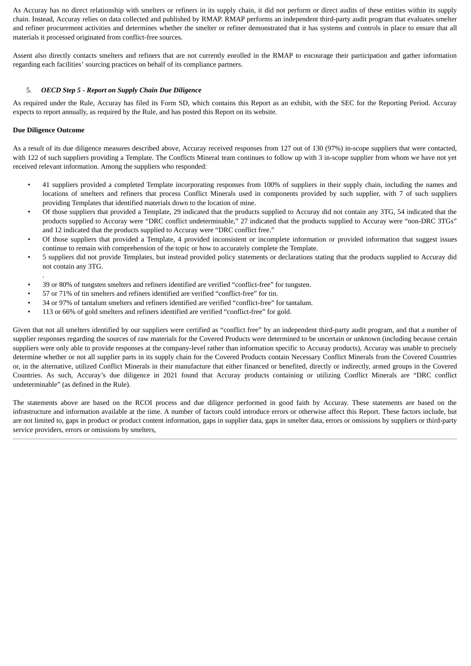As Accuray has no direct relationship with smelters or refiners in its supply chain, it did not perform or direct audits of these entities within its supply chain. Instead, Accuray relies on data collected and published by RMAP. RMAP performs an independent third-party audit program that evaluates smelter and refiner procurement activities and determines whether the smelter or refiner demonstrated that it has systems and controls in place to ensure that all materials it processed originated from conflict-free sources.

Assent also directly contacts smelters and refiners that are not currently enrolled in the RMAP to encourage their participation and gather information regarding each facilities' sourcing practices on behalf of its compliance partners.

# 5. *OECD Step 5 - Report on Supply Chain Due Diligence*

As required under the Rule, Accuray has filed its Form SD, which contains this Report as an exhibit, with the SEC for the Reporting Period. Accuray expects to report annually, as required by the Rule, and has posted this Report on its website.

# **Due Diligence Outcome**

.

As a result of its due diligence measures described above, Accuray received responses from 127 out of 130 (97%) in-scope suppliers that were contacted, with 122 of such suppliers providing a Template. The Conflicts Mineral team continues to follow up with 3 in-scope supplier from whom we have not yet received relevant information. Among the suppliers who responded:

- 41 suppliers provided a completed Template incorporating responses from 100% of suppliers in their supply chain, including the names and locations of smelters and refiners that process Conflict Minerals used in components provided by such supplier, with 7 of such suppliers providing Templates that identified materials down to the location of mine.
- Of those suppliers that provided a Template, 29 indicated that the products supplied to Accuray did not contain any 3TG, 54 indicated that the products supplied to Accuray were "DRC conflict undeterminable," 27 indicated that the products supplied to Accuray were "non-DRC 3TGs" and 12 indicated that the products supplied to Accuray were "DRC conflict free."
- Of those suppliers that provided a Template, 4 provided inconsistent or incomplete information or provided information that suggest issues continue to remain with comprehension of the topic or how to accurately complete the Template.
- 5 suppliers did not provide Templates, but instead provided policy statements or declarations stating that the products supplied to Accuray did not contain any 3TG.
- 39 or 80% of tungsten smelters and refiners identified are verified "conflict-free" for tungsten.
- 57 or 71% of tin smelters and refiners identified are verified "conflict-free" for tin.
- 34 or 97% of tantalum smelters and refiners identified are verified "conflict-free" for tantalum.
- 113 or 66% of gold smelters and refiners identified are verified "conflict-free" for gold.

Given that not all smelters identified by our suppliers were certified as "conflict free" by an independent third-party audit program, and that a number of supplier responses regarding the sources of raw materials for the Covered Products were determined to be uncertain or unknown (including because certain suppliers were only able to provide responses at the company-level rather than information specific to Accuray products), Accuray was unable to precisely determine whether or not all supplier parts in its supply chain for the Covered Products contain Necessary Conflict Minerals from the Covered Countries or, in the alternative, utilized Conflict Minerals in their manufacture that either financed or benefited, directly or indirectly, armed groups in the Covered Countries. As such, Accuray's due diligence in 2021 found that Accuray products containing or utilizing Conflict Minerals are "DRC conflict undeterminable" (as defined in the Rule).

The statements above are based on the RCOI process and due diligence performed in good faith by Accuray. These statements are based on the infrastructure and information available at the time. A number of factors could introduce errors or otherwise affect this Report. These factors include, but are not limited to, gaps in product or product content information, gaps in supplier data, gaps in smelter data, errors or omissions by suppliers or third-party service providers, errors or omissions by smelters,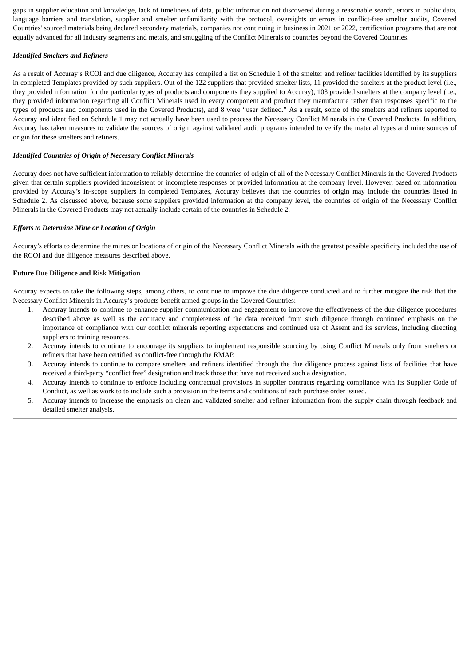gaps in supplier education and knowledge, lack of timeliness of data, public information not discovered during a reasonable search, errors in public data, language barriers and translation, supplier and smelter unfamiliarity with the protocol, oversights or errors in conflict-free smelter audits, Covered Countries' sourced materials being declared secondary materials, companies not continuing in business in 2021 or 2022, certification programs that are not equally advanced for all industry segments and metals, and smuggling of the Conflict Minerals to countries beyond the Covered Countries.

### *Identified Smelters and Refiners*

As a result of Accuray's RCOI and due diligence, Accuray has compiled a list on Schedule 1 of the smelter and refiner facilities identified by its suppliers in completed Templates provided by such suppliers. Out of the 122 suppliers that provided smelter lists, 11 provided the smelters at the product level (i.e., they provided information for the particular types of products and components they supplied to Accuray), 103 provided smelters at the company level (i.e., they provided information regarding all Conflict Minerals used in every component and product they manufacture rather than responses specific to the types of products and components used in the Covered Products), and 8 were "user defined." As a result, some of the smelters and refiners reported to Accuray and identified on Schedule 1 may not actually have been used to process the Necessary Conflict Minerals in the Covered Products. In addition, Accuray has taken measures to validate the sources of origin against validated audit programs intended to verify the material types and mine sources of origin for these smelters and refiners.

### *Identified Countries of Origin of Necessary Conflict Minerals*

Accuray does not have sufficient information to reliably determine the countries of origin of all of the Necessary Conflict Minerals in the Covered Products given that certain suppliers provided inconsistent or incomplete responses or provided information at the company level. However, based on information provided by Accuray's in-scope suppliers in completed Templates, Accuray believes that the countries of origin may include the countries listed in Schedule 2. As discussed above, because some suppliers provided information at the company level, the countries of origin of the Necessary Conflict Minerals in the Covered Products may not actually include certain of the countries in Schedule 2.

#### *Efforts to Determine Mine or Location of Origin*

Accuray's efforts to determine the mines or locations of origin of the Necessary Conflict Minerals with the greatest possible specificity included the use of the RCOI and due diligence measures described above.

#### **Future Due Diligence and Risk Mitigation**

Accuray expects to take the following steps, among others, to continue to improve the due diligence conducted and to further mitigate the risk that the Necessary Conflict Minerals in Accuray's products benefit armed groups in the Covered Countries:

- 1. Accuray intends to continue to enhance supplier communication and engagement to improve the effectiveness of the due diligence procedures described above as well as the accuracy and completeness of the data received from such diligence through continued emphasis on the importance of compliance with our conflict minerals reporting expectations and continued use of Assent and its services, including directing suppliers to training resources.
- 2. Accuray intends to continue to encourage its suppliers to implement responsible sourcing by using Conflict Minerals only from smelters or refiners that have been certified as conflict-free through the RMAP.
- 3. Accuray intends to continue to compare smelters and refiners identified through the due diligence process against lists of facilities that have received a third-party "conflict free" designation and track those that have not received such a designation.
- 4. Accuray intends to continue to enforce including contractual provisions in supplier contracts regarding compliance with its Supplier Code of Conduct, as well as work to to include such a provision in the terms and conditions of each purchase order issued.
- 5. Accuray intends to increase the emphasis on clean and validated smelter and refiner information from the supply chain through feedback and detailed smelter analysis.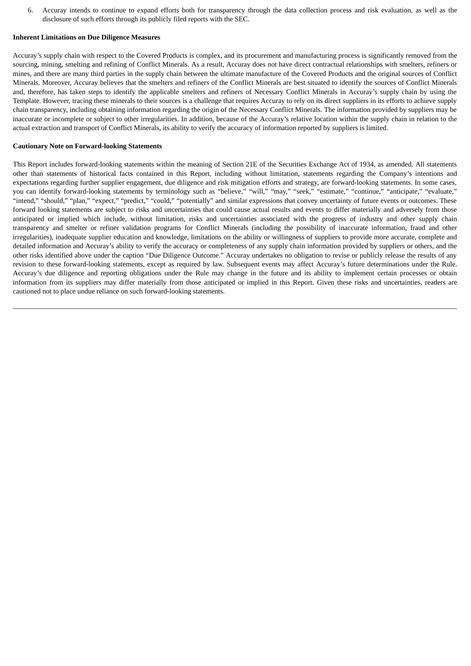6. Accuray intends to continue to expand efforts both for transparency through the data collection process and risk evaluation, as well as the disclosure of such efforts through its publicly filed reports with the SEC.

#### **Inherent Limitations on Due Diligence Measures**

Accuray's supply chain with respect to the Covered Products is complex, and its procurement and manufacturing process is significantly removed from the sourcing, mining, smelting and refining of Conflict Minerals. As a result, Accuray does not have direct contractual relationships with smelters, refiners or mines, and there are many third parties in the supply chain between the ultimate manufacture of the Covered Products and the original sources of Conflict Minerals. Moreover, Accuray believes that the smelters and refiners of the Conflict Minerals are best situated to identify the sources of Conflict Minerals and, therefore, has taken steps to identify the applicable smelters and refiners of Necessary Conflict Minerals in Accuray's supply chain by using the Template. However, tracing these minerals to their sources is a challenge that requires Accuray to rely on its direct suppliers in its efforts to achieve supply chain transparency, including obtaining information regarding the origin of the Necessary Conflict Minerals. The information provided by suppliers may be inaccurate or incomplete or subject to other irregularities. In addition, because of the Accuray's relative location within the supply chain in relation to the actual extraction and transport of Conflict Minerals, its ability to verify the accuracy of information reported by suppliers is limited.

#### **Cautionary Note on Forward-looking Statements**

This Report includes forward-looking statements within the meaning of Section 21E of the Securities Exchange Act of 1934, as amended. All statements other than statements of historical facts contained in this Report, including without limitation, statements regarding the Company's intentions and expectations regarding further supplier engagement, due diligence and risk mitigation efforts and strategy, are forward-looking statements. In some cases, you can identify forward-looking statements by terminology such as "believe," "will," "may," "seek," "estimate," "continue," "anticipate," "evaluate," "intend," "should," "plan," "expect," "predict," "could," "potentially" and similar expressions that convey uncertainty of future events or outcomes. These forward looking statements are subject to risks and uncertainties that could cause actual results and events to differ materially and adversely from those anticipated or implied which include, without limitation, risks and uncertainties associated with the progress of industry and other supply chain transparency and smelter or refiner validation programs for Conflict Minerals (including the possibility of inaccurate information, fraud and other irregularities), inadequate supplier education and knowledge, limitations on the ability or willingness of suppliers to provide more accurate, complete and detailed information and Accuray's ability to verify the accuracy or completeness of any supply chain information provided by suppliers or others, and the other risks identified above under the caption "Due Diligence Outcome." Accuray undertakes no obligation to revise or publicly release the results of any revision to these forward-looking statements, except as required by law. Subsequent events may affect Accuray's future determinations under the Rule. Accuray's due diligence and reporting obligations under the Rule may change in the future and its ability to implement certain processes or obtain information from its suppliers may differ materially from those anticipated or implied in this Report. Given these risks and uncertainties, readers are cautioned not to place undue reliance on such forward-looking statements.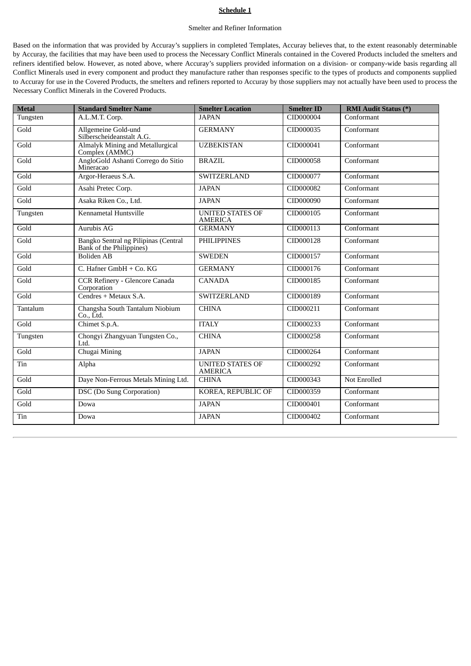### **Schedule 1**

#### Smelter and Refiner Information

Based on the information that was provided by Accuray's suppliers in completed Templates, Accuray believes that, to the extent reasonably determinable by Accuray, the facilities that may have been used to process the Necessary Conflict Minerals contained in the Covered Products included the smelters and refiners identified below. However, as noted above, where Accuray's suppliers provided information on a division- or company-wide basis regarding all Conflict Minerals used in every component and product they manufacture rather than responses specific to the types of products and components supplied to Accuray for use in the Covered Products, the smelters and refiners reported to Accuray by those suppliers may not actually have been used to process the Necessary Conflict Minerals in the Covered Products.

| <b>Metal</b> | <b>Standard Smelter Name</b>                                     | <b>Smelter Location</b>                   | <b>Smelter ID</b> | <b>RMI Audit Status (*)</b> |
|--------------|------------------------------------------------------------------|-------------------------------------------|-------------------|-----------------------------|
| Tungsten     | A.L.M.T. Corp.                                                   | <b>JAPAN</b>                              | CID000004         | Conformant                  |
| Gold         | Allgemeine Gold-und<br>Silberscheideanstalt A.G.                 | <b>GERMANY</b>                            | CID000035         | Conformant                  |
| Gold         | Almalyk Mining and Metallurgical<br>Complex (AMMC)               | <b>UZBEKISTAN</b>                         | CID000041         | Conformant                  |
| Gold         | AngloGold Ashanti Corrego do Sitio<br>Mineracao                  | <b>BRAZIL</b>                             | CID000058         | Conformant                  |
| Gold         | Argor-Heraeus S.A.                                               | <b>SWITZERLAND</b>                        | CID000077         | Conformant                  |
| Gold         | Asahi Pretec Corp.                                               | <b>JAPAN</b>                              | CID000082         | Conformant                  |
| Gold         | Asaka Riken Co., Ltd.                                            | <b>JAPAN</b>                              | CID000090         | Conformant                  |
| Tungsten     | Kennametal Huntsville                                            | <b>UNITED STATES OF</b><br><b>AMERICA</b> | CID000105         | Conformant                  |
| Gold         | Aurubis AG                                                       | <b>GERMANY</b>                            | CID000113         | Conformant                  |
| Gold         | Bangko Sentral ng Pilipinas (Central<br>Bank of the Philippines) | <b>PHILIPPINES</b>                        | CID000128         | Conformant                  |
| Gold         | <b>Boliden AB</b>                                                | <b>SWEDEN</b>                             | CID000157         | Conformant                  |
| Gold         | C. Hafner GmbH + Co. KG                                          | <b>GERMANY</b>                            | CID000176         | Conformant                  |
| Gold         | <b>CCR Refinery - Glencore Canada</b><br>Corporation             | <b>CANADA</b>                             | CID000185         | Conformant                  |
| Gold         | Cendres + Metaux S.A.                                            | <b>SWITZERLAND</b>                        | CID000189         | Conformant                  |
| Tantalum     | Changsha South Tantalum Niobium<br>Co., Ltd.                     | <b>CHINA</b>                              | CID000211         | Conformant                  |
| Gold         | Chimet S.p.A.                                                    | <b>ITALY</b>                              | CID000233         | Conformant                  |
| Tungsten     | Chongyi Zhangyuan Tungsten Co.,<br>Ltd.                          | <b>CHINA</b>                              | CID000258         | Conformant                  |
| Gold         | Chugai Mining                                                    | <b>JAPAN</b>                              | CID000264         | Conformant                  |
| Tin          | Alpha                                                            | <b>UNITED STATES OF</b><br><b>AMERICA</b> | CID000292         | Conformant                  |
| Gold         | Daye Non-Ferrous Metals Mining Ltd.                              | <b>CHINA</b>                              | CID000343         | Not Enrolled                |
| Gold         | DSC (Do Sung Corporation)                                        | KOREA, REPUBLIC OF                        | CID000359         | Conformant                  |
| Gold         | Dowa                                                             | <b>JAPAN</b>                              | CID000401         | Conformant                  |
| Tin          | Dowa                                                             | <b>JAPAN</b>                              | CID000402         | Conformant                  |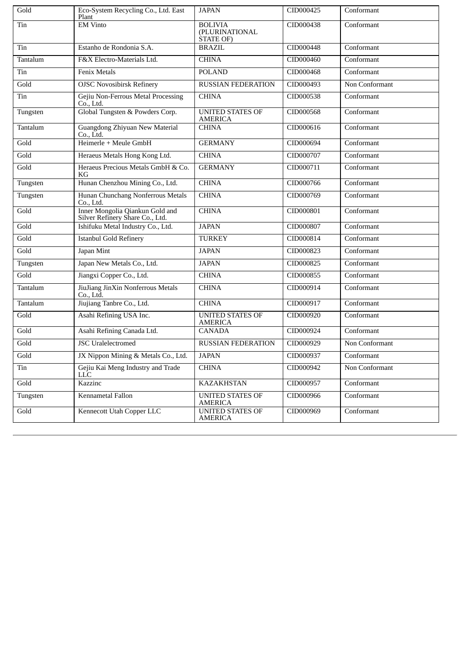| Gold     | Eco-System Recycling Co., Ltd. East<br>Plant                       | <b>JAPAN</b>                                         | CID000425 | Conformant     |
|----------|--------------------------------------------------------------------|------------------------------------------------------|-----------|----------------|
| Tin      | <b>EM Vinto</b>                                                    | <b>BOLIVIA</b><br>(PLURINATIONAL<br><b>STATE OF)</b> | CID000438 | Conformant     |
| Tin      | Estanho de Rondonia S.A.                                           | <b>BRAZIL</b>                                        | CID000448 | Conformant     |
| Tantalum | F&X Electro-Materials Ltd.                                         | <b>CHINA</b>                                         | CID000460 | Conformant     |
| Tin      | <b>Fenix Metals</b>                                                | <b>POLAND</b>                                        | CID000468 | Conformant     |
| Gold     | <b>OJSC Novosibirsk Refinery</b>                                   | <b>RUSSIAN FEDERATION</b>                            | CID000493 | Non Conformant |
| Tin      | Gejiu Non-Ferrous Metal Processing<br>Co., Ltd.                    | <b>CHINA</b>                                         | CID000538 | Conformant     |
| Tungsten | Global Tungsten & Powders Corp.                                    | <b>UNITED STATES OF</b><br><b>AMERICA</b>            | CID000568 | Conformant     |
| Tantalum | <b>Guangdong Zhiyuan New Material</b><br>Co., Ltd.                 | <b>CHINA</b>                                         | CID000616 | Conformant     |
| Gold     | Heimerle + Meule GmbH                                              | <b>GERMANY</b>                                       | CID000694 | Conformant     |
| Gold     | Heraeus Metals Hong Kong Ltd.                                      | <b>CHINA</b>                                         | CID000707 | Conformant     |
| Gold     | Heraeus Precious Metals GmbH & Co.<br>KG                           | <b>GERMANY</b>                                       | CID000711 | Conformant     |
| Tungsten | Hunan Chenzhou Mining Co., Ltd.                                    | <b>CHINA</b>                                         | CID000766 | Conformant     |
| Tungsten | Hunan Chunchang Nonferrous Metals<br>Co., Ltd.                     | <b>CHINA</b>                                         | CID000769 | Conformant     |
| Gold     | Inner Mongolia Qiankun Gold and<br>Silver Refinery Share Co., Ltd. | <b>CHINA</b>                                         | CID000801 | Conformant     |
| Gold     | Ishifuku Metal Industry Co., Ltd.                                  | <b>JAPAN</b>                                         | CID000807 | Conformant     |
| Gold     | <b>Istanbul Gold Refinery</b>                                      | <b>TURKEY</b>                                        | CID000814 | Conformant     |
| Gold     | Japan Mint                                                         | <b>JAPAN</b>                                         | CID000823 | Conformant     |
| Tungsten | Japan New Metals Co., Ltd.                                         | <b>JAPAN</b>                                         | CID000825 | Conformant     |
| Gold     | Jiangxi Copper Co., Ltd.                                           | <b>CHINA</b>                                         | CID000855 | Conformant     |
| Tantalum | JiuJiang JinXin Nonferrous Metals<br>Co., Ltd.                     | <b>CHINA</b>                                         | CID000914 | Conformant     |
| Tantalum | Jiujiang Tanbre Co., Ltd.                                          | <b>CHINA</b>                                         | CID000917 | Conformant     |
| Gold     | Asahi Refining USA Inc.                                            | <b>UNITED STATES OF</b><br><b>AMERICA</b>            | CID000920 | Conformant     |
| Gold     | Asahi Refining Canada Ltd.                                         | <b>CANADA</b>                                        | CID000924 | Conformant     |
| Gold     | <b>JSC</b> Uralelectromed                                          | <b>RUSSIAN FEDERATION</b>                            | CID000929 | Non Conformant |
| Gold     | JX Nippon Mining & Metals Co., Ltd.                                | <b>JAPAN</b>                                         | CID000937 | Conformant     |
| Tin      | Gejiu Kai Meng Industry and Trade<br>LLC                           | <b>CHINA</b>                                         | CID000942 | Non Conformant |
| Gold     | Kazzinc                                                            | <b>KAZAKHSTAN</b>                                    | CID000957 | Conformant     |
| Tungsten | Kennametal Fallon                                                  | <b>UNITED STATES OF</b><br><b>AMERICA</b>            | CID000966 | Conformant     |
| Gold     | Kennecott Utah Copper LLC                                          | <b>UNITED STATES OF</b><br><b>AMERICA</b>            | CID000969 | Conformant     |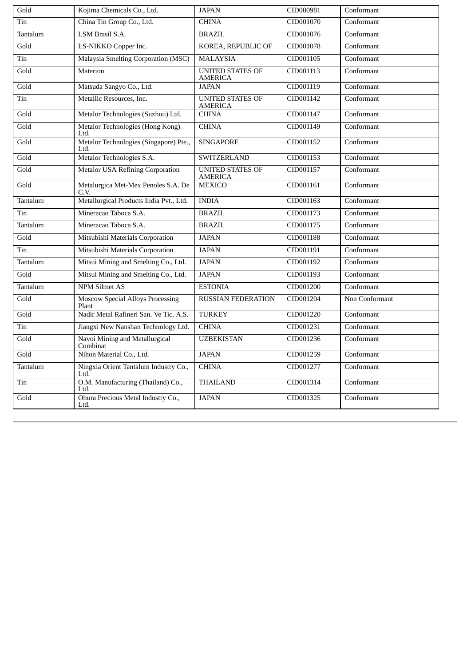| Gold     | Kojima Chemicals Co., Ltd.                       | <b>JAPAN</b>                              | CID000981 | Conformant     |
|----------|--------------------------------------------------|-------------------------------------------|-----------|----------------|
| Tin      | China Tin Group Co., Ltd.                        | <b>CHINA</b>                              | CID001070 | Conformant     |
| Tantalum | LSM Brasil S.A.                                  | <b>BRAZIL</b>                             | CID001076 | Conformant     |
| Gold     | LS-NIKKO Copper Inc.                             | KOREA, REPUBLIC OF                        | CID001078 | Conformant     |
| Tin      | Malaysia Smelting Corporation (MSC)              | <b>MALAYSIA</b>                           | CID001105 | Conformant     |
| Gold     | Materion                                         | <b>UNITED STATES OF</b><br><b>AMERICA</b> | CID001113 | Conformant     |
| Gold     | Matsuda Sangyo Co., Ltd.                         | <b>JAPAN</b>                              | CID001119 | Conformant     |
| Tin      | Metallic Resources, Inc.                         | <b>UNITED STATES OF</b><br><b>AMERICA</b> | CID001142 | Conformant     |
| Gold     | Metalor Technologies (Suzhou) Ltd.               | <b>CHINA</b>                              | CID001147 | Conformant     |
| Gold     | Metalor Technologies (Hong Kong)<br>Ltd.         | <b>CHINA</b>                              | CID001149 | Conformant     |
| Gold     | Metalor Technologies (Singapore) Pte.,<br>Ltd.   | <b>SINGAPORE</b>                          | CID001152 | Conformant     |
| Gold     | Metalor Technologies S.A.                        | <b>SWITZERLAND</b>                        | CID001153 | Conformant     |
| Gold     | <b>Metalor USA Refining Corporation</b>          | <b>UNITED STATES OF</b><br><b>AMERICA</b> | CID001157 | Conformant     |
| Gold     | Metalurgica Met-Mex Penoles S.A. De<br>C.V.      | <b>MEXICO</b>                             | CID001161 | Conformant     |
| Tantalum | Metallurgical Products India Pvt., Ltd.          | <b>INDIA</b>                              | CID001163 | Conformant     |
| Tin      | Mineracao Taboca S.A.                            | <b>BRAZIL</b>                             | CID001173 | Conformant     |
| Tantalum | Mineracao Taboca S.A.                            | <b>BRAZIL</b>                             | CID001175 | Conformant     |
| Gold     | Mitsubishi Materials Corporation                 | <b>JAPAN</b>                              | CID001188 | Conformant     |
| Tin      | Mitsubishi Materials Corporation                 | <b>JAPAN</b>                              | CID001191 | Conformant     |
| Tantalum | Mitsui Mining and Smelting Co., Ltd.             | <b>JAPAN</b>                              | CID001192 | Conformant     |
| Gold     | Mitsui Mining and Smelting Co., Ltd.             | <b>JAPAN</b>                              | CID001193 | Conformant     |
| Tantalum | <b>NPM Silmet AS</b>                             | <b>ESTONIA</b>                            | CID001200 | Conformant     |
| Gold     | <b>Moscow Special Alloys Processing</b><br>Plant | <b>RUSSIAN FEDERATION</b>                 | CID001204 | Non Conformant |
| Gold     | Nadir Metal Rafineri San. Ve Tic. A.S.           | <b>TURKEY</b>                             | CID001220 | Conformant     |
| Tin      | Jiangxi New Nanshan Technology Ltd.              | <b>CHINA</b>                              | CID001231 | Conformant     |
| Gold     | Navoi Mining and Metallurgical<br>Combinat       | <b>UZBEKISTAN</b>                         | CID001236 | Conformant     |
| Gold     | Nihon Material Co., Ltd.                         | <b>JAPAN</b>                              | CID001259 | Conformant     |
| Tantalum | Ningxia Orient Tantalum Industry Co.,<br>Ltd.    | <b>CHINA</b>                              | CID001277 | Conformant     |
| Tin      | O.M. Manufacturing (Thailand) Co.,<br>Ltd.       | <b>THAILAND</b>                           | CID001314 | Conformant     |
| Gold     | Ohura Precious Metal Industry Co.,<br>Ltd.       | <b>JAPAN</b>                              | CID001325 | Conformant     |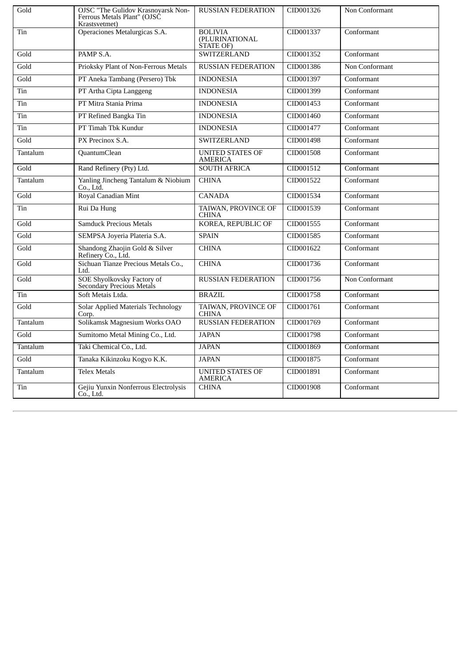| Gold     | <b>OJSC "The Gulidov Krasnoyarsk Non-</b><br>Ferrous Metals Plant" (OJSČ<br>Krastsvetmet) | <b>RUSSIAN FEDERATION</b>                     | CID001326 | Non Conformant |
|----------|-------------------------------------------------------------------------------------------|-----------------------------------------------|-----------|----------------|
| Tin      | Operaciones Metalurgicas S.A.                                                             | <b>BOLIVIA</b><br>(PLURINATIONAL<br>STATE OF) | CID001337 | Conformant     |
| Gold     | PAMP S.A.                                                                                 | <b>SWITZERLAND</b>                            | CID001352 | Conformant     |
| Gold     | Prioksky Plant of Non-Ferrous Metals                                                      | <b>RUSSIAN FEDERATION</b>                     | CID001386 | Non Conformant |
| Gold     | PT Aneka Tambang (Persero) Tbk                                                            | <b>INDONESIA</b>                              | CID001397 | Conformant     |
| Tin      | PT Artha Cipta Langgeng                                                                   | <b>INDONESIA</b>                              | CID001399 | Conformant     |
| Tin      | PT Mitra Stania Prima                                                                     | <b>INDONESIA</b>                              | CID001453 | Conformant     |
| Tin      | PT Refined Bangka Tin                                                                     | <b>INDONESIA</b>                              | CID001460 | Conformant     |
| Tin      | PT Timah Tbk Kundur                                                                       | <b>INDONESIA</b>                              | CID001477 | Conformant     |
| Gold     | PX Precinox S.A.                                                                          | <b>SWITZERLAND</b>                            | CID001498 | Conformant     |
| Tantalum | QuantumClean                                                                              | <b>UNITED STATES OF</b><br><b>AMERICA</b>     | CID001508 | Conformant     |
| Gold     | Rand Refinery (Pty) Ltd.                                                                  | <b>SOUTH AFRICA</b>                           | CID001512 | Conformant     |
| Tantalum | Yanling Jincheng Tantalum & Niobium<br>Co., Ltd.                                          | <b>CHINA</b>                                  | CID001522 | Conformant     |
| Gold     | Royal Canadian Mint                                                                       | <b>CANADA</b>                                 | CID001534 | Conformant     |
| Tin      | Rui Da Hung                                                                               | TAIWAN, PROVINCE OF<br><b>CHINA</b>           | CID001539 | Conformant     |
| Gold     | <b>Samduck Precious Metals</b>                                                            | <b>KOREA, REPUBLIC OF</b>                     | CID001555 | Conformant     |
| Gold     | SEMPSA Joyeria Plateria S.A.                                                              | <b>SPAIN</b>                                  | CID001585 | Conformant     |
| Gold     | Shandong Zhaojin Gold & Silver<br>Refinery Co., Ltd.                                      | <b>CHINA</b>                                  | CID001622 | Conformant     |
| Gold     | Sichuan Tianze Precious Metals Co.,<br>Ltd.                                               | <b>CHINA</b>                                  | CID001736 | Conformant     |
| Gold     | SOE Shyolkovsky Factory of<br>Secondary Precious Metals                                   | <b>RUSSIAN FEDERATION</b>                     | CID001756 | Non Conformant |
| Tin      | Soft Metais Ltda.                                                                         | <b>BRAZIL</b>                                 | CID001758 | Conformant     |
| Gold     | <b>Solar Applied Materials Technology</b><br>Corp.                                        | TAIWAN, PROVINCE OF<br><b>CHINA</b>           | CID001761 | Conformant     |
| Tantalum | Solikamsk Magnesium Works OAO                                                             | <b>RUSSIAN FEDERATION</b>                     | CID001769 | Conformant     |
| Gold     | Sumitomo Metal Mining Co., Ltd.                                                           | <b>JAPAN</b>                                  | CID001798 | Conformant     |
| Tantalum | Taki Chemical Co., Ltd.                                                                   | <b>JAPAN</b>                                  | CID001869 | Conformant     |
| Gold     | Tanaka Kikinzoku Kogyo K.K.                                                               | <b>JAPAN</b>                                  | CID001875 | Conformant     |
| Tantalum | <b>Telex Metals</b>                                                                       | <b>UNITED STATES OF</b><br><b>AMERICA</b>     | CID001891 | Conformant     |
| Tin      | Gejiu Yunxin Nonferrous Electrolysis<br>Co., Ltd.                                         | <b>CHINA</b>                                  | CID001908 | Conformant     |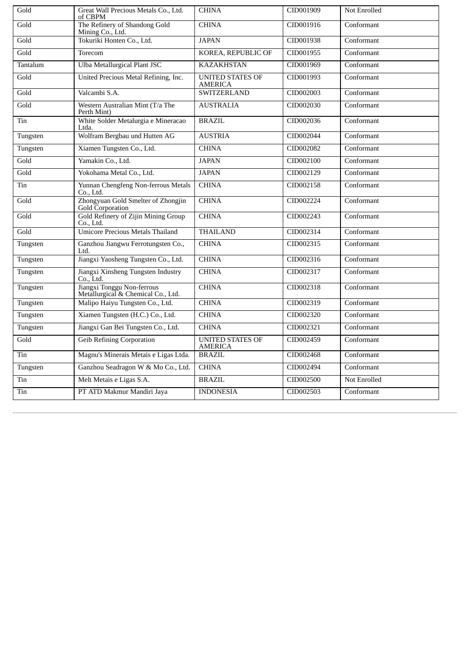| Gold              | Great Wall Precious Metals Co., Ltd.<br>of CBPM                  | <b>CHINA</b>                              | CID001909 | Not Enrolled |
|-------------------|------------------------------------------------------------------|-------------------------------------------|-----------|--------------|
| Gold              | The Refinery of Shandong Gold<br>Mining Co., Ltd.                | <b>CHINA</b>                              | CID001916 | Conformant   |
| Gold              | Tokuriki Honten Co., Ltd.                                        | <b>JAPAN</b>                              | CID001938 | Conformant   |
| Gold              | Torecom                                                          | KOREA, REPUBLIC OF                        | CID001955 | Conformant   |
| Tantalum          | <b>Ulba Metallurgical Plant JSC</b>                              | <b>KAZAKHSTAN</b>                         | CID001969 | Conformant   |
| Gold              | United Precious Metal Refining, Inc.                             | <b>UNITED STATES OF</b><br><b>AMERICA</b> | CID001993 | Conformant   |
| Gold              | Valcambi S.A.                                                    | <b>SWITZERLAND</b>                        | CID002003 | Conformant   |
| Gold              | Western Australian Mint (T/a The<br>Perth Mint)                  | <b>AUSTRALIA</b>                          | CID002030 | Conformant   |
| Tin               | White Solder Metalurgia e Mineracao<br>Ltda.                     | <b>BRAZIL</b>                             | CID002036 | Conformant   |
| Tungsten          | Wolfram Bergbau und Hutten AG                                    | <b>AUSTRIA</b>                            | CID002044 | Conformant   |
| Tungsten          | Xiamen Tungsten Co., Ltd.                                        | <b>CHINA</b>                              | CID002082 | Conformant   |
| $\overline{Gold}$ | Yamakin Co., Ltd.                                                | <b>JAPAN</b>                              | CID002100 | Conformant   |
| Gold              | Yokohama Metal Co., Ltd.                                         | <b>JAPAN</b>                              | CID002129 | Conformant   |
| Tin               | Yunnan Chengfeng Non-ferrous Metals<br>Co., Ltd.                 | <b>CHINA</b>                              | CID002158 | Conformant   |
| Gold              | Zhongyuan Gold Smelter of Zhongjin<br>Gold Corporation           | <b>CHINA</b>                              | CID002224 | Conformant   |
| Gold              | <b>Gold Refinery of Zijin Mining Group</b><br>Co., Ltd.          | <b>CHINA</b>                              | CID002243 | Conformant   |
| Gold              | <b>Umicore Precious Metals Thailand</b>                          | <b>THAILAND</b>                           | CID002314 | Conformant   |
| Tungsten          | Ganzhou Jiangwu Ferrotungsten Co.,<br>Ltd.                       | <b>CHINA</b>                              | CID002315 | Conformant   |
| Tungsten          | Jiangxi Yaosheng Tungsten Co., Ltd.                              | <b>CHINA</b>                              | CID002316 | Conformant   |
| Tungsten          | Jiangxi Xinsheng Tungsten Industry<br>Co., Ltd.                  | <b>CHINA</b>                              | CID002317 | Conformant   |
| Tungsten          | Jiangxi Tonggu Non-ferrous<br>Metallurgical & Chemical Co., Ltd. | <b>CHINA</b>                              | CID002318 | Conformant   |
| Tungsten          | Malipo Haiyu Tungsten Co., Ltd.                                  | <b>CHINA</b>                              | CID002319 | Conformant   |
| Tungsten          | Xiamen Tungsten (H.C.) Co., Ltd.                                 | <b>CHINA</b>                              | CID002320 | Conformant   |
| Tungsten          | Jiangxi Gan Bei Tungsten Co., Ltd.                               | <b>CHINA</b>                              | CID002321 | Conformant   |
| Gold              | <b>Geib Refining Corporation</b>                                 | <b>UNITED STATES OF</b><br><b>AMERICA</b> | CID002459 | Conformant   |
| Tin               | Magnu's Minerais Metais e Ligas Ltda.                            | <b>BRAZIL</b>                             | CID002468 | Conformant   |
| Tungsten          | Ganzhou Seadragon W & Mo Co., Ltd.                               | <b>CHINA</b>                              | CID002494 | Conformant   |
| Tin               | Melt Metais e Ligas S.A.                                         | <b>BRAZIL</b>                             | CID002500 | Not Enrolled |
| Tin               | PT ATD Makmur Mandiri Jaya                                       | <b>INDONESIA</b>                          | CID002503 | Conformant   |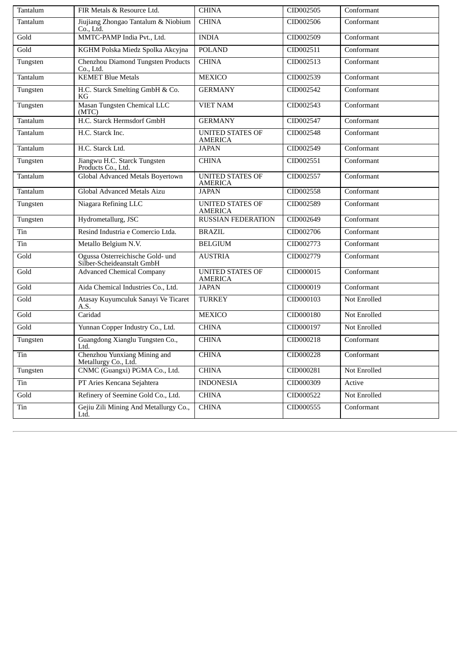| Tantalum | FIR Metals & Resource Ltd.                                     | <b>CHINA</b>                              | CID002505 | Conformant   |
|----------|----------------------------------------------------------------|-------------------------------------------|-----------|--------------|
| Tantalum | Jiujiang Zhongao Tantalum & Niobium<br>Co., Ltd.               | <b>CHINA</b>                              | CID002506 | Conformant   |
| Gold     | MMTC-PAMP India Pvt., Ltd.                                     | <b>INDIA</b>                              | CID002509 | Conformant   |
| Gold     | KGHM Polska Miedz Spolka Akcyjna                               | <b>POLAND</b>                             | CID002511 | Conformant   |
| Tungsten | Chenzhou Diamond Tungsten Products<br>Co., Ltd.                | <b>CHINA</b>                              | CID002513 | Conformant   |
| Tantalum | <b>KEMET Blue Metals</b>                                       | <b>MEXICO</b>                             | CID002539 | Conformant   |
| Tungsten | H.C. Starck Smelting GmbH & Co.<br>KG                          | <b>GERMANY</b>                            | CID002542 | Conformant   |
| Tungsten | Masan Tungsten Chemical LLC<br>(MTC)                           | <b>VIET NAM</b>                           | CID002543 | Conformant   |
| Tantalum | H.C. Starck Hermsdorf GmbH                                     | <b>GERMANY</b>                            | CID002547 | Conformant   |
| Tantalum | H.C. Starck Inc.                                               | <b>UNITED STATES OF</b><br><b>AMERICA</b> | CID002548 | Conformant   |
| Tantalum | H.C. Starck Ltd.                                               | <b>JAPAN</b>                              | CID002549 | Conformant   |
| Tungsten | Jiangwu H.C. Starck Tungsten<br>Products Co., Ltd.             | <b>CHINA</b>                              | CID002551 | Conformant   |
| Tantalum | Global Advanced Metals Boyertown                               | <b>UNITED STATES OF</b><br><b>AMERICA</b> | CID002557 | Conformant   |
| Tantalum | <b>Global Advanced Metals Aizu</b>                             | <b>JAPAN</b>                              | CID002558 | Conformant   |
| Tungsten | Niagara Refining LLC                                           | <b>UNITED STATES OF</b><br><b>AMERICA</b> | CID002589 | Conformant   |
| Tungsten | Hydrometallurg, JSC                                            | <b>RUSSIAN FEDERATION</b>                 | CID002649 | Conformant   |
| Tin      | Resind Industria e Comercio Ltda.                              | <b>BRAZIL</b>                             | CID002706 | Conformant   |
| Tin      | Metallo Belgium N.V.                                           | <b>BELGIUM</b>                            | CID002773 | Conformant   |
| Gold     | Ogussa Osterreichische Gold- und<br>Silber-Scheideanstalt GmbH | <b>AUSTRIA</b>                            | CID002779 | Conformant   |
| Gold     | <b>Advanced Chemical Company</b>                               | <b>UNITED STATES OF</b><br><b>AMERICA</b> | CID000015 | Conformant   |
| Gold     | Aida Chemical Industries Co., Ltd.                             | <b>JAPAN</b>                              | CID000019 | Conformant   |
| Gold     | Atasay Kuyumculuk Sanayi Ve Ticaret<br>A.S.                    | <b>TURKEY</b>                             | CID000103 | Not Enrolled |
| Gold     | Caridad                                                        | <b>MEXICO</b>                             | CID000180 | Not Enrolled |
| Gold     | Yunnan Copper Industry Co., Ltd.                               | <b>CHINA</b>                              | CID000197 | Not Enrolled |
| Tungsten | Guangdong Xianglu Tungsten Co.,<br>Ltd.                        | <b>CHINA</b>                              | CID000218 | Conformant   |
| Tin      | Chenzhou Yunxiang Mining and<br>Metallurgy Co., Ltd.           | <b>CHINA</b>                              | CID000228 | Conformant   |
| Tungsten | CNMC (Guangxi) PGMA Co., Ltd.                                  | <b>CHINA</b>                              | CID000281 | Not Enrolled |
| Tin      | PT Aries Kencana Sejahtera                                     | <b>INDONESIA</b>                          | CID000309 | Active       |
| Gold     | Refinery of Seemine Gold Co., Ltd.                             | <b>CHINA</b>                              | CID000522 | Not Enrolled |
| Tin      | Gejiu Zili Mining And Metallurgy Co.,<br>Ltd.                  | <b>CHINA</b>                              | CID000555 | Conformant   |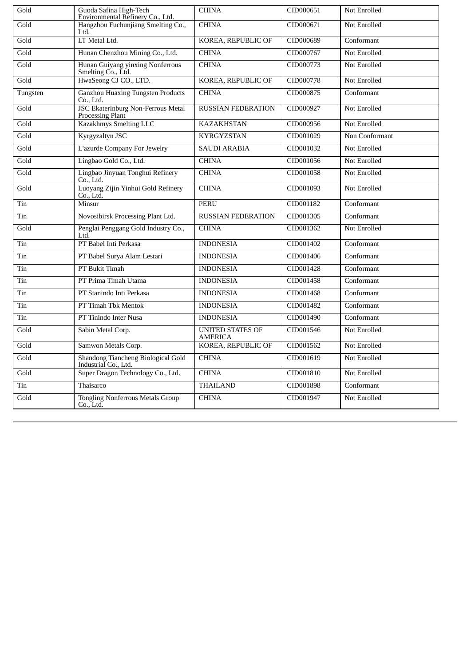| Gold              | Guoda Safina High-Tech<br>Environmental Refinery Co., Ltd.    | <b>CHINA</b>                              | CID000651 | <b>Not Enrolled</b> |
|-------------------|---------------------------------------------------------------|-------------------------------------------|-----------|---------------------|
| Gold              | Hangzhou Fuchunjiang Smelting Co.,<br>Ltd.                    | <b>CHINA</b>                              | CID000671 | <b>Not Enrolled</b> |
| Gold              | LT Metal Ltd.                                                 | KOREA, REPUBLIC OF                        | CID000689 | Conformant          |
| Gold              | Hunan Chenzhou Mining Co., Ltd.                               | <b>CHINA</b>                              | CID000767 | <b>Not Enrolled</b> |
| Gold              | Hunan Guiyang yinxing Nonferrous<br>Smelting Co., Ltd.        | <b>CHINA</b>                              | CID000773 | <b>Not Enrolled</b> |
| Gold              | HwaSeong CJ CO., LTD.                                         | KOREA, REPUBLIC OF                        | CID000778 | Not Enrolled        |
| Tungsten          | <b>Ganzhou Huaxing Tungsten Products</b><br>Co., Ltd.         | <b>CHINA</b>                              | CID000875 | Conformant          |
| Gold              | <b>JSC Ekaterinburg Non-Ferrous Metal</b><br>Processing Plant | <b>RUSSIAN FEDERATION</b>                 | CID000927 | <b>Not Enrolled</b> |
| Gold              | Kazakhmys Smelting LLC                                        | <b>KAZAKHSTAN</b>                         | CID000956 | <b>Not Enrolled</b> |
| Gold              | Kyrgyzaltyn JSC                                               | <b>KYRGYZSTAN</b>                         | CID001029 | Non Conformant      |
| Gold              | <b>L'azurde Company For Jewelry</b>                           | <b>SAUDI ARABIA</b>                       | CID001032 | <b>Not Enrolled</b> |
| Gold              | Lingbao Gold Co., Ltd.                                        | <b>CHINA</b>                              | CID001056 | Not Enrolled        |
| Gold              | Lingbao Jinyuan Tonghui Refinery<br>Co., Ltd.                 | <b>CHINA</b>                              | CID001058 | Not Enrolled        |
| Gold              | Luoyang Zijin Yinhui Gold Refinery<br>Co Ltd.                 | <b>CHINA</b>                              | CID001093 | <b>Not Enrolled</b> |
| Tin               | Minsur                                                        | <b>PERU</b>                               | CID001182 | Conformant          |
| Tin               | Novosibirsk Processing Plant Ltd.                             | <b>RUSSIAN FEDERATION</b>                 | CID001305 | Conformant          |
| Gold              | Penglai Penggang Gold Industry Co.,<br>Ltd.                   | <b>CHINA</b>                              | CID001362 | Not Enrolled        |
| Tin               | PT Babel Inti Perkasa                                         | <b>INDONESIA</b>                          | CID001402 | Conformant          |
| Tin               | PT Babel Surya Alam Lestari                                   | <b>INDONESIA</b>                          | CID001406 | Conformant          |
| Tin               | PT Bukit Timah                                                | <b>INDONESIA</b>                          | CID001428 | Conformant          |
| Tin               | PT Prima Timah Utama                                          | <b>INDONESIA</b>                          | CID001458 | Conformant          |
| Tin               | PT Stanindo Inti Perkasa                                      | <b>INDONESIA</b>                          | CID001468 | Conformant          |
| Tin               | PT Timah Tbk Mentok                                           | <b>INDONESIA</b>                          | CID001482 | Conformant          |
| Tin               | PT Tinindo Inter Nusa                                         | <b>INDONESIA</b>                          | CID001490 | Conformant          |
| Gold              | Sabin Metal Corp.                                             | <b>UNITED STATES OF</b><br><b>AMERICA</b> | CID001546 | Not Enrolled        |
| Gold              | Samwon Metals Corp.                                           | KOREA, REPUBLIC OF                        | CID001562 | Not Enrolled        |
| Gold              | Shandong Tiancheng Biological Gold<br>Industrial Co., Ltd.    | <b>CHINA</b>                              | CID001619 | Not Enrolled        |
| $\overline{Gold}$ | Super Dragon Technology Co., Ltd.                             | <b>CHINA</b>                              | CID001810 | <b>Not Enrolled</b> |
| Tin               | Thaisarco                                                     | <b>THAILAND</b>                           | CID001898 | Conformant          |
| Gold              | <b>Tongling Nonferrous Metals Group</b><br>Co., Ltd.          | <b>CHINA</b>                              | CID001947 | Not Enrolled        |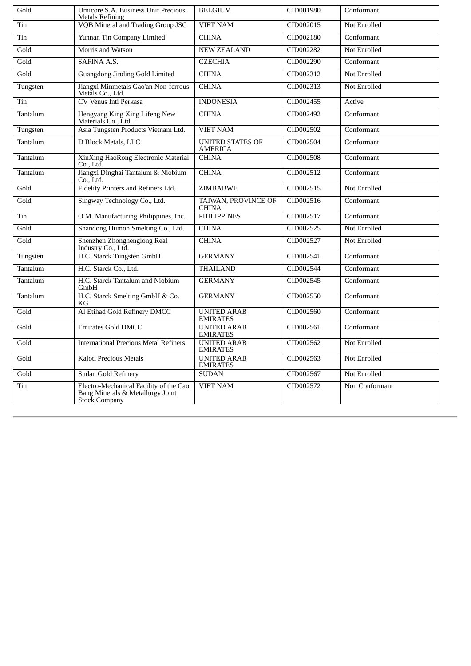| Gold     | Umicore S.A. Business Unit Precious<br><b>Metals Refining</b>                               | <b>BELGIUM</b>                            | CID001980 | Conformant          |
|----------|---------------------------------------------------------------------------------------------|-------------------------------------------|-----------|---------------------|
| Tin      | VQB Mineral and Trading Group JSC                                                           | <b>VIET NAM</b>                           | CID002015 | <b>Not Enrolled</b> |
| Tin      | Yunnan Tin Company Limited                                                                  | <b>CHINA</b>                              | CID002180 | Conformant          |
| Gold     | Morris and Watson                                                                           | <b>NEW ZEALAND</b>                        | CID002282 | <b>Not Enrolled</b> |
| Gold     | SAFINA A.S.                                                                                 | <b>CZECHIA</b>                            | CID002290 | Conformant          |
| Gold     | Guangdong Jinding Gold Limited                                                              | <b>CHINA</b>                              | CID002312 | <b>Not Enrolled</b> |
| Tungsten | Jiangxi Minmetals Gao'an Non-ferrous<br>Metals Co., Ltd.                                    | <b>CHINA</b>                              | CID002313 | <b>Not Enrolled</b> |
| Tin      | <b>CV Venus Inti Perkasa</b>                                                                | <b>INDONESIA</b>                          | CID002455 | Active              |
| Tantalum | Hengyang King Xing Lifeng New<br>Materials Co., Ltd.                                        | <b>CHINA</b>                              | CID002492 | Conformant          |
| Tungsten | Asia Tungsten Products Vietnam Ltd.                                                         | <b>VIET NAM</b>                           | CID002502 | Conformant          |
| Tantalum | D Block Metals, LLC                                                                         | <b>UNITED STATES OF</b><br><b>AMERICA</b> | CID002504 | Conformant          |
| Tantalum | XinXing HaoRong Electronic Material<br>Co., Ltd.                                            | <b>CHINA</b>                              | CID002508 | Conformant          |
| Tantalum | Jiangxi Dinghai Tantalum & Niobium<br>Co., Ltd.                                             | <b>CHINA</b>                              | CID002512 | Conformant          |
| Gold     | Fidelity Printers and Refiners Ltd.                                                         | <b>ZIMBABWE</b>                           | CID002515 | <b>Not Enrolled</b> |
| Gold     | Singway Technology Co., Ltd.                                                                | TAIWAN, PROVINCE OF<br><b>CHINA</b>       | CID002516 | Conformant          |
| Tin      | O.M. Manufacturing Philippines, Inc.                                                        | <b>PHILIPPINES</b>                        | CID002517 | Conformant          |
| Gold     | Shandong Humon Smelting Co., Ltd.                                                           | <b>CHINA</b>                              | CID002525 | <b>Not Enrolled</b> |
| Gold     | Shenzhen Zhonghenglong Real<br>Industry Co., Ltd.                                           | <b>CHINA</b>                              | CID002527 | Not Enrolled        |
| Tungsten | H.C. Starck Tungsten GmbH                                                                   | <b>GERMANY</b>                            | CID002541 | Conformant          |
| Tantalum | H.C. Starck Co., Ltd.                                                                       | <b>THAILAND</b>                           | CID002544 | Conformant          |
| Tantalum | H.C. Starck Tantalum and Niobium<br>GmbH                                                    | <b>GERMANY</b>                            | CID002545 | Conformant          |
| Tantalum | H.C. Starck Smelting GmbH & Co.<br>КG                                                       | <b>GERMANY</b>                            | CID002550 | Conformant          |
| Gold     | Al Etihad Gold Refinery DMCC                                                                | <b>UNITED ARAB</b><br><b>EMIRATES</b>     | CID002560 | Conformant          |
| Gold     | <b>Emirates Gold DMCC</b>                                                                   | <b>UNITED ARAB</b><br><b>EMIRATES</b>     | CID002561 | Conformant          |
| Gold     | <b>International Precious Metal Refiners</b>                                                | <b>UNITED ARAB</b><br><b>EMIRATES</b>     | CID002562 | Not Enrolled        |
| Gold     | <b>Kaloti Precious Metals</b>                                                               | <b>UNITED ARAB</b><br><b>EMIRATES</b>     | CID002563 | Not Enrolled        |
| Gold     | Sudan Gold Refinery                                                                         | <b>SUDAN</b>                              | CID002567 | <b>Not Enrolled</b> |
| Tin      | Electro-Mechanical Facility of the Cao<br>Bang Minerals & Metallurgy Joint<br>Stock Company | <b>VIET NAM</b>                           | CID002572 | Non Conformant      |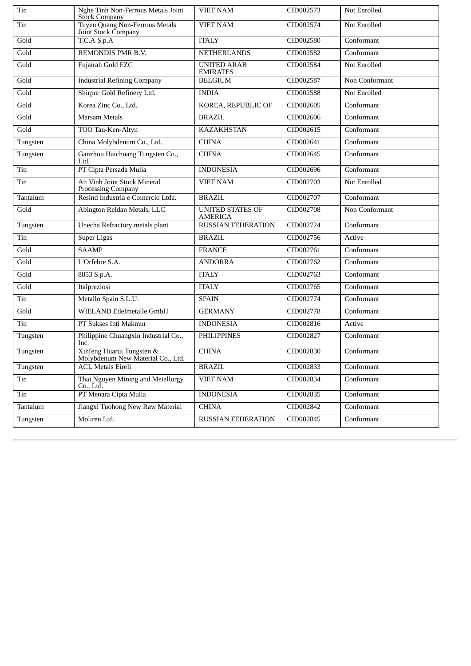| Tin      | Nghe Tinh Non-Ferrous Metals Joint<br><b>Stock Company</b>     | <b>VIET NAM</b>                           | CID002573 | Not Enrolled   |
|----------|----------------------------------------------------------------|-------------------------------------------|-----------|----------------|
| Tin      | Tuyen Quang Non-Ferrous Metals<br>Joint Stock Company          | <b>VIET NAM</b>                           | CID002574 | Not Enrolled   |
| Gold     | T.C.A S.p.A                                                    | <b>ITALY</b>                              | CID002580 | Conformant     |
| Gold     | REMONDIS PMR B.V.                                              | <b>NETHERLANDS</b>                        | CID002582 | Conformant     |
| Gold     | Fujairah Gold FZC                                              | <b>UNITED ARAB</b><br><b>EMIRATES</b>     | CID002584 | Not Enrolled   |
| Gold     | <b>Industrial Refining Company</b>                             | <b>BELGIUM</b>                            | CID002587 | Non Conformant |
| Gold     | Shirpur Gold Refinery Ltd.                                     | <b>INDIA</b>                              | CID002588 | Not Enrolled   |
| Gold     | Korea Zinc Co., Ltd.                                           | KOREA, REPUBLIC OF                        | CID002605 | Conformant     |
| Gold     | <b>Marsam Metals</b>                                           | <b>BRAZIL</b>                             | CID002606 | Conformant     |
| Gold     | TOO Tau-Ken-Altyn                                              | <b>KAZAKHSTAN</b>                         | CID002615 | Conformant     |
| Tungsten | China Molybdenum Co., Ltd.                                     | <b>CHINA</b>                              | CID002641 | Conformant     |
| Tungsten | Ganzhou Haichuang Tungsten Co.,<br>Ltd.                        | <b>CHINA</b>                              | CID002645 | Conformant     |
| Tin      | PT Cipta Persada Mulia                                         | <b>INDONESIA</b>                          | CID002696 | Conformant     |
| Tin      | An Vinh Joint Stock Mineral<br>Processing Company              | <b>VIET NAM</b>                           | CID002703 | Not Enrolled   |
| Tantalum | Resind Industria e Comercio Ltda.                              | <b>BRAZIL</b>                             | CID002707 | Conformant     |
| Gold     | Abington Reldan Metals, LLC                                    | <b>UNITED STATES OF</b><br><b>AMERICA</b> | CID002708 | Non Conformant |
| Tungsten | Unecha Refractory metals plant                                 | <b>RUSSIAN FEDERATION</b>                 | CID002724 | Conformant     |
| Tin      | <b>Super Ligas</b>                                             | <b>BRAZIL</b>                             | CID002756 | Active         |
| Gold     | <b>SAAMP</b>                                                   | <b>FRANCE</b>                             | CID002761 | Conformant     |
| Gold     | L'Orfebre S.A.                                                 | <b>ANDORRA</b>                            | CID002762 | Conformant     |
| Gold     | 8853 S.p.A.                                                    | <b>ITALY</b>                              | CID002763 | Conformant     |
| Gold     | Italpreziosi                                                   | <b>ITALY</b>                              | CID002765 | Conformant     |
| Tin      | Metallo Spain S.L.U.                                           | <b>SPAIN</b>                              | CID002774 | Conformant     |
| Gold     | WIELAND Edelmetalle GmbH                                       | <b>GERMANY</b>                            | CID002778 | Conformant     |
| Tin      | PT Sukses Inti Makmur                                          | <b>INDONESIA</b>                          | CID002816 | Active         |
| Tungsten | Philippine Chuangxin Industrial Co.,<br>Inc.                   | <b>PHILIPPINES</b>                        | CID002827 | Conformant     |
| Tungsten | Xinfeng Huarui Tungsten &<br>Molybdenum New Material Co., Ltd. | <b>CHINA</b>                              | CID002830 | Conformant     |
| Tungsten | <b>ACL Metais Eireli</b>                                       | <b>BRAZIL</b>                             | CID002833 | Conformant     |
| Tin      | Thai Nguyen Mining and Metallurgy<br>Co., Ltd.                 | <b>VIET NAM</b>                           | CID002834 | Conformant     |
| Tin      | PT Menara Cipta Mulia                                          | <b>INDONESIA</b>                          | CID002835 | Conformant     |
| Tantalum | Jiangxi Tuohong New Raw Material                               | <b>CHINA</b>                              | CID002842 | Conformant     |
| Tungsten | Moliren Ltd.                                                   | <b>RUSSIAN FEDERATION</b>                 | CID002845 | Conformant     |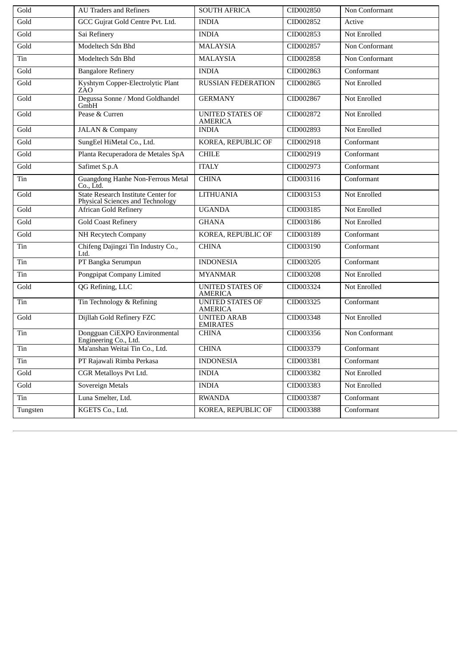| Gold     | <b>AU Traders and Refiners</b>                                                 | <b>SOUTH AFRICA</b>                       | CID002850 | Non Conformant      |
|----------|--------------------------------------------------------------------------------|-------------------------------------------|-----------|---------------------|
| Gold     | GCC Gujrat Gold Centre Pvt. Ltd.                                               | <b>INDIA</b>                              | CID002852 | Active              |
| Gold     | Sai Refinery                                                                   | <b>INDIA</b>                              | CID002853 | Not Enrolled        |
| Gold     | Modeltech Sdn Bhd                                                              | <b>MALAYSIA</b>                           | CID002857 | Non Conformant      |
| Tin      | Modeltech Sdn Bhd                                                              | <b>MALAYSIA</b>                           | CID002858 | Non Conformant      |
| Gold     | <b>Bangalore Refinery</b>                                                      | <b>INDIA</b>                              | CID002863 | Conformant          |
| Gold     | Kyshtym Copper-Electrolytic Plant<br>ZÃO                                       | <b>RUSSIAN FEDERATION</b>                 | CID002865 | Not Enrolled        |
| Gold     | Degussa Sonne / Mond Goldhandel<br>GmbH                                        | <b>GERMANY</b>                            | CID002867 | Not Enrolled        |
| Gold     | Pease & Curren                                                                 | <b>UNITED STATES OF</b><br><b>AMERICA</b> | CID002872 | Not Enrolled        |
| Gold     | <b>JALAN &amp; Company</b>                                                     | <b>INDIA</b>                              | CID002893 | Not Enrolled        |
| Gold     | SungEel HiMetal Co., Ltd.                                                      | KOREA, REPUBLIC OF                        | CID002918 | Conformant          |
| Gold     | Planta Recuperadora de Metales SpA                                             | <b>CHILE</b>                              | CID002919 | Conformant          |
| Gold     | Safimet S.p.A                                                                  | <b>ITALY</b>                              | CID002973 | Conformant          |
| Tin      | Guangdong Hanhe Non-Ferrous Metal<br>Co Ltd.                                   | <b>CHINA</b>                              | CID003116 | Conformant          |
| Gold     | <b>State Research Institute Center for</b><br>Physical Sciences and Technology | <b>LITHUANIA</b>                          | CID003153 | Not Enrolled        |
| Gold     | <b>African Gold Refinery</b>                                                   | <b>UGANDA</b>                             | CID003185 | Not Enrolled        |
| Gold     | <b>Gold Coast Refinery</b>                                                     | <b>GHANA</b>                              | CID003186 | <b>Not Enrolled</b> |
| Gold     | <b>NH Recytech Company</b>                                                     | KOREA, REPUBLIC OF                        | CID003189 | Conformant          |
| Tin      | Chifeng Dajingzi Tin Industry Co.,<br>Ltd.                                     | <b>CHINA</b>                              | CID003190 | Conformant          |
| Tin      | PT Bangka Serumpun                                                             | <b>INDONESIA</b>                          | CID003205 | Conformant          |
| Tin      | <b>Pongpipat Company Limited</b>                                               | <b>MYANMAR</b>                            | CID003208 | Not Enrolled        |
| Gold     | QG Refining, LLC                                                               | <b>UNITED STATES OF</b><br><b>AMERICA</b> | CID003324 | Not Enrolled        |
| Tin      | Tin Technology & Refining                                                      | <b>UNITED STATES OF</b><br>AMERICA        | CID003325 | Conformant          |
| Gold     | Dijllah Gold Refinery FZC                                                      | <b>UNITED ARAB</b><br><b>EMIRATES</b>     | CID003348 | Not Enrolled        |
| Tin      | Dongguan CiEXPO Environmental<br>Engineering Co., Ltd.                         | <b>CHINA</b>                              | CID003356 | Non Conformant      |
| Tin      | Ma'anshan Weitai Tin Co., Ltd.                                                 | <b>CHINA</b>                              | CID003379 | Conformant          |
| Tin      | PT Rajawali Rimba Perkasa                                                      | <b>INDONESIA</b>                          | CID003381 | Conformant          |
| Gold     | <b>CGR Metalloys Pvt Ltd.</b>                                                  | <b>INDIA</b>                              | CID003382 | Not Enrolled        |
| Gold     | Sovereign Metals                                                               | <b>INDIA</b>                              | CID003383 | Not Enrolled        |
| Tin      | Luna Smelter, Ltd.                                                             | <b>RWANDA</b>                             | CID003387 | Conformant          |
| Tungsten | KGETS Co., Ltd.                                                                | KOREA, REPUBLIC OF                        | CID003388 | Conformant          |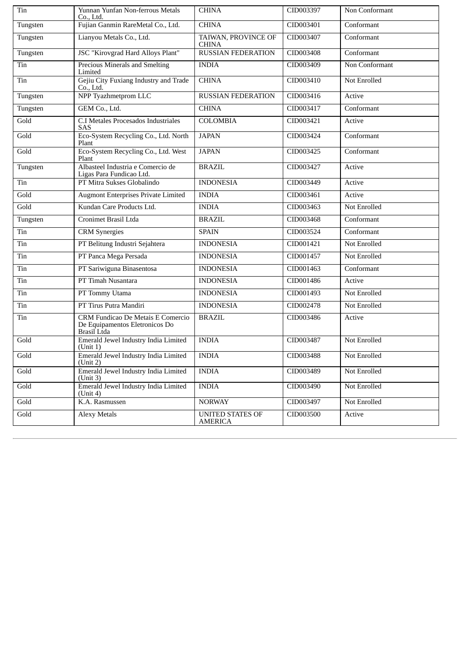| Tin      | Yunnan Yunfan Non-ferrous Metals<br>Co., Ltd.                                             | <b>CHINA</b>                        | CID003397 | Non Conformant |
|----------|-------------------------------------------------------------------------------------------|-------------------------------------|-----------|----------------|
| Tungsten | Fujian Ganmin RareMetal Co., Ltd.                                                         | <b>CHINA</b>                        | CID003401 | Conformant     |
| Tungsten | Lianyou Metals Co., Ltd.                                                                  | TAIWAN, PROVINCE OF<br><b>CHINA</b> | CID003407 | Conformant     |
| Tungsten | <b>JSC</b> "Kirovgrad Hard Alloys Plant"                                                  | <b>RUSSIAN FEDERATION</b>           | CID003408 | Conformant     |
| Tin      | Precious Minerals and Smelting<br>Limited                                                 | <b>INDIA</b>                        | CID003409 | Non Conformant |
| Tin      | Gejiu City Fuxiang Industry and Trade<br>Co., Ltd.                                        | <b>CHINA</b>                        | CID003410 | Not Enrolled   |
| Tungsten | NPP Tyazhmetprom LLC                                                                      | <b>RUSSIAN FEDERATION</b>           | CID003416 | Active         |
| Tungsten | GEM Co., Ltd.                                                                             | <b>CHINA</b>                        | CID003417 | Conformant     |
| Gold     | C.I Metales Procesados Industriales<br>SAS                                                | <b>COLOMBIA</b>                     | CID003421 | Active         |
| Gold     | Eco-System Recycling Co., Ltd. North<br>Plant                                             | <b>JAPAN</b>                        | CID003424 | Conformant     |
| Gold     | Eco-System Recycling Co., Ltd. West<br>Plant                                              | <b>JAPAN</b>                        | CID003425 | Conformant     |
| Tungsten | Albasteel Industria e Comercio de<br>Ligas Para Fundicao Ltd.                             | <b>BRAZIL</b>                       | CID003427 | Active         |
| Tin      | PT Mitra Sukses Globalindo                                                                | <b>INDONESIA</b>                    | CID003449 | Active         |
| Gold     | <b>Augmont Enterprises Private Limited</b>                                                | <b>INDIA</b>                        | CID003461 | Active         |
| Gold     | Kundan Care Products Ltd.                                                                 | <b>INDIA</b>                        | CID003463 | Not Enrolled   |
| Tungsten | Cronimet Brasil Ltda                                                                      | <b>BRAZIL</b>                       | CID003468 | Conformant     |
| Tin      | <b>CRM</b> Synergies                                                                      | <b>SPAIN</b>                        | CID003524 | Conformant     |
| Tin      | PT Belitung Industri Sejahtera                                                            | <b>INDONESIA</b>                    | CID001421 | Not Enrolled   |
| Tin      | PT Panca Mega Persada                                                                     | <b>INDONESIA</b>                    | CID001457 | Not Enrolled   |
| Tin      | PT Sariwiguna Binasentosa                                                                 | <b>INDONESIA</b>                    | CID001463 | Conformant     |
| Tin      | PT Timah Nusantara                                                                        | <b>INDONESIA</b>                    | CID001486 | Active         |
| Tin      | PT Tommy Utama                                                                            | <b>INDONESIA</b>                    | CID001493 | Not Enrolled   |
| Tin      | PT Tirus Putra Mandiri                                                                    | <b>INDONESIA</b>                    | CID002478 | Not Enrolled   |
| Tin      | <b>CRM Fundicao De Metais E Comercio</b><br>De Equipamentos Eletronicos Do<br>Brasil Ltda | <b>BRAZIL</b>                       | CID003486 | Active         |
| Gold     | Emerald Jewel Industry India Limited<br>(Unit 1)                                          | <b>INDIA</b>                        | CID003487 | Not Enrolled   |
| Gold     | Emerald Jewel Industry India Limited<br>(Unit 2)                                          | <b>INDIA</b>                        | CID003488 | Not Enrolled   |
| Gold     | Emerald Jewel Industry India Limited<br>(Unit 3)                                          | <b>INDIA</b>                        | CID003489 | Not Enrolled   |
| Gold     | Emerald Jewel Industry India Limited<br>(Unit 4)                                          | <b>INDIA</b>                        | CID003490 | Not Enrolled   |
| Gold     | K.A. Rasmussen                                                                            | <b>NORWAY</b>                       | CID003497 | Not Enrolled   |
| Gold     | <b>Alexy Metals</b>                                                                       | UNITED STATES OF<br>AMERICA         | CID003500 | Active         |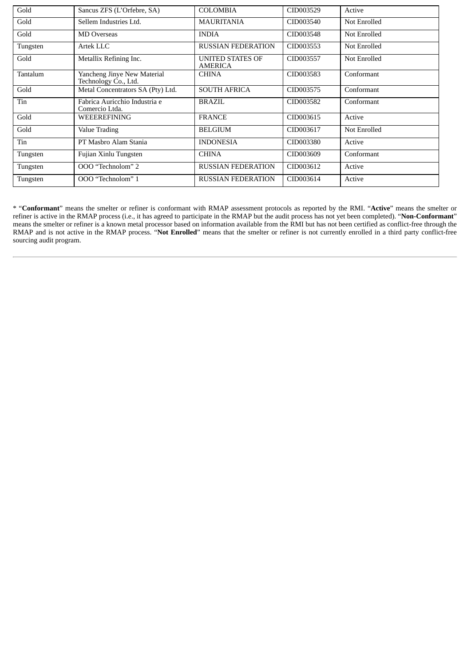| Gold     | Sancus ZFS (L'Orfebre, SA)                          | <b>COLOMBIA</b>                    | CID003529 | Active              |
|----------|-----------------------------------------------------|------------------------------------|-----------|---------------------|
| Gold     | Sellem Industries Ltd.                              | <b>MAURITANIA</b>                  | CID003540 | Not Enrolled        |
| Gold     | <b>MD Overseas</b>                                  | <b>INDIA</b>                       | CID003548 | Not Enrolled        |
| Tungsten | Artek LLC                                           | <b>RUSSIAN FEDERATION</b>          | CID003553 | Not Enrolled        |
| Gold     | Metallix Refining Inc.                              | UNITED STATES OF<br><b>AMERICA</b> | CID003557 | Not Enrolled        |
| Tantalum | Yancheng Jinye New Material<br>Technology Co., Ltd. | CHINA                              | CID003583 | Conformant          |
| Gold     | Metal Concentrators SA (Pty) Ltd.                   | <b>SOUTH AFRICA</b>                | CID003575 | Conformant          |
| Tin      | Fabrica Auricchio Industria e<br>Comercio Ltda.     | <b>BRAZIL</b>                      | CID003582 | Conformant          |
| Gold     | WEEEREFINING                                        | <b>FRANCE</b>                      | CID003615 | Active              |
| Gold     | Value Trading                                       | <b>BELGIUM</b>                     | CID003617 | <b>Not Enrolled</b> |
| Tin      | PT Masbro Alam Stania                               | <b>INDONESIA</b>                   | CID003380 | Active              |
| Tungsten | Fujian Xinlu Tungsten                               | <b>CHINA</b>                       | CID003609 | Conformant          |
| Tungsten | OOO "Technolom" 2                                   | <b>RUSSIAN FEDERATION</b>          | CID003612 | Active              |
| Tungsten | OOO "Technolom" 1                                   | <b>RUSSIAN FEDERATION</b>          | CID003614 | Active              |

\* "**Conformant**" means the smelter or refiner is conformant with RMAP assessment protocols as reported by the RMI. "**Active**" means the smelter or refiner is active in the RMAP process (i.e., it has agreed to participate in the RMAP but the audit process has not yet been completed). "**Non-Conformant**" means the smelter or refiner is a known metal processor based on information available from the RMI but has not been certified as conflict-free through the RMAP and is not active in the RMAP process. "**Not Enrolled**" means that the smelter or refiner is not currently enrolled in a third party conflict-free sourcing audit program.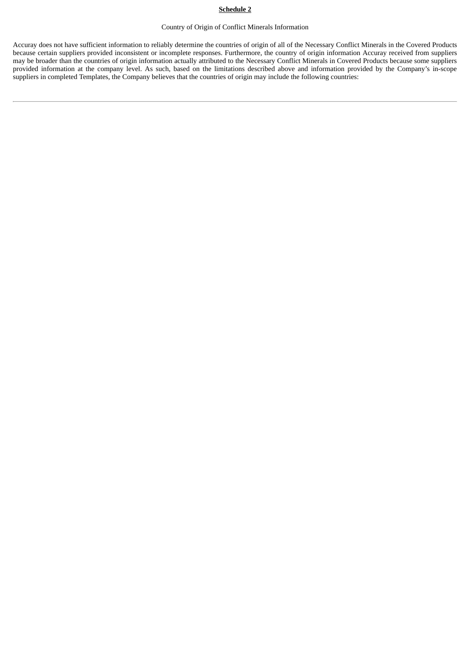# **Schedule 2**

# Country of Origin of Conflict Minerals Information

Accuray does not have sufficient information to reliably determine the countries of origin of all of the Necessary Conflict Minerals in the Covered Products because certain suppliers provided inconsistent or incomplete responses. Furthermore, the country of origin information Accuray received from suppliers may be broader than the countries of origin information actually attributed to the Necessary Conflict Minerals in Covered Products because some suppliers provided information at the company level. As such, based on the limitations described above and information provided by the Company's in-scope suppliers in completed Templates, the Company believes that the countries of origin may include the following countries: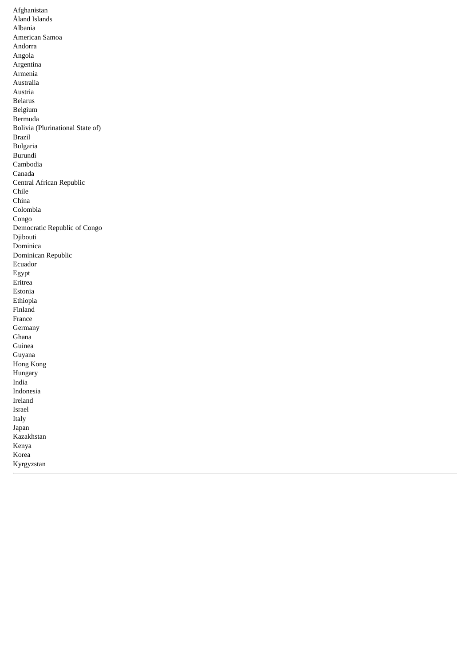Afghanistan Åland Islands Albania American Samoa Andorra Angola Argentina Armenia Australia Austria Belarus Belgium Bermuda Bolivia (Plurinational State of) Brazil Bulgaria Burundi Cambodia Canada Central African Republic Chile China Colombia Congo Democratic Republic of Congo Djibouti Dominica Dominican Republic Ecuador Egypt Eritrea Estonia Ethiopia Finland France Germany Ghana Guinea Guyana Hong Kong Hungary India Indonesia Ireland Israel Italy Japan Kazakhstan Kenya Korea

Kyrgyzstan